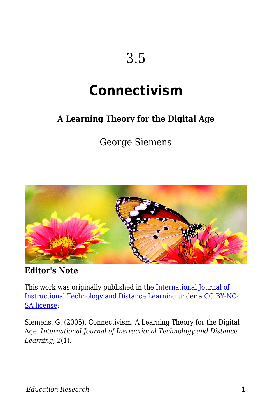# 3.5

# **Connectivism**

#### **A Learning Theory for the Digital Age**

George Siemens



**Editor's Note**

This work was originally published in the [International Journal of](http://www.itdl.org/journal/jan_05/article01.htm) [Instructional Technology and Distance Learning](http://www.itdl.org/journal/jan_05/article01.htm) under a [CC BY-NC-](http://creativecommons.org/licenses/by-nc-sa/1.0)[SA license](http://creativecommons.org/licenses/by-nc-sa/1.0):

Siemens, G. (2005). Connectivism: A Learning Theory for the Digital Age. *International Journal of Instructional Technology and Distance Learning, 2*(1).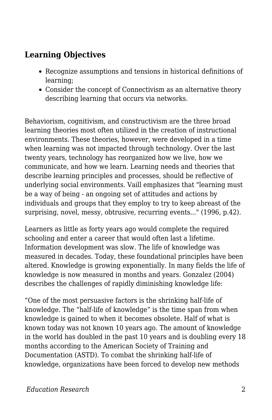#### **Learning Objectives**

- Recognize assumptions and tensions in historical definitions of learning;
- Consider the concept of Connectivism as an alternative theory describing learning that occurs via networks.

Behaviorism, cognitivism, and constructivism are the three broad learning theories most often utilized in the creation of instructional environments. These theories, however, were developed in a time when learning was not impacted through technology. Over the last twenty years, technology has reorganized how we live, how we communicate, and how we learn. Learning needs and theories that describe learning principles and processes, should be reflective of underlying social environments. Vaill emphasizes that "learning must be a way of being - an ongoing set of attitudes and actions by individuals and groups that they employ to try to keep abreast of the surprising, novel, messy, obtrusive, recurring events..." (1996, p.42).

Learners as little as forty years ago would complete the required schooling and enter a career that would often last a lifetime. Information development was slow. The life of knowledge was measured in decades. Today, these foundational principles have been altered. Knowledge is growing exponentially. In many fields the life of knowledge is now measured in months and years. Gonzalez (2004) describes the challenges of rapidly diminishing knowledge life:

"One of the most persuasive factors is the shrinking half-life of knowledge. The "half-life of knowledge" is the time span from when knowledge is gained to when it becomes obsolete. Half of what is known today was not known 10 years ago. The amount of knowledge in the world has doubled in the past 10 years and is doubling every 18 months according to the American Society of Training and Documentation (ASTD). To combat the shrinking half-life of knowledge, organizations have been forced to develop new methods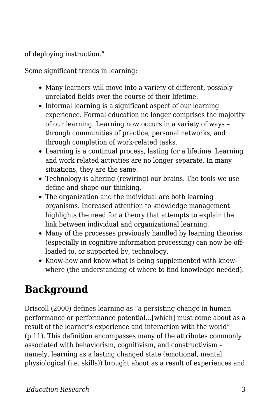of deploying instruction."

Some significant trends in learning:

- Many learners will move into a variety of different, possibly unrelated fields over the course of their lifetime.
- Informal learning is a significant aspect of our learning experience. Formal education no longer comprises the majority of our learning. Learning now occurs in a variety of ways – through communities of practice, personal networks, and through completion of work-related tasks.
- Learning is a continual process, lasting for a lifetime. Learning and work related activities are no longer separate. In many situations, they are the same.
- Technology is altering (rewiring) our brains. The tools we use define and shape our thinking.
- The organization and the individual are both learning organisms. Increased attention to knowledge management highlights the need for a theory that attempts to explain the link between individual and organizational learning.
- Many of the processes previously handled by learning theories (especially in cognitive information processing) can now be offloaded to, or supported by, technology.
- Know-how and know-what is being supplemented with knowwhere (the understanding of where to find knowledge needed).

## **Background**

Driscoll (2000) defines learning as "a persisting change in human performance or performance potential…[which] must come about as a result of the learner's experience and interaction with the world" (p.11). This definition encompasses many of the attributes commonly associated with behaviorism, cognitivism, and constructivism – namely, learning as a lasting changed state (emotional, mental, physiological (i.e. skills)) brought about as a result of experiences and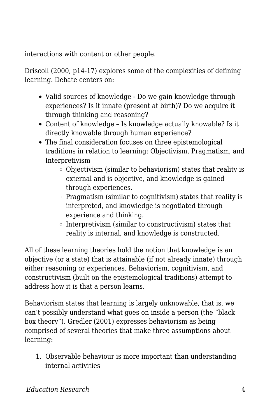interactions with content or other people.

Driscoll (2000, p14-17) explores some of the complexities of defining learning. Debate centers on:

- Valid sources of knowledge Do we gain knowledge through experiences? Is it innate (present at birth)? Do we acquire it through thinking and reasoning?
- Content of knowledge Is knowledge actually knowable? Is it directly knowable through human experience?
- The final consideration focuses on three epistemological traditions in relation to learning: Objectivism, Pragmatism, and Interpretivism
	- Objectivism (similar to behaviorism) states that reality is external and is objective, and knowledge is gained through experiences.
	- $\circ$  Pragmatism (similar to cognitivism) states that reality is interpreted, and knowledge is negotiated through experience and thinking.
	- $\circ$  Interpretivism (similar to constructivism) states that reality is internal, and knowledge is constructed.

All of these learning theories hold the notion that knowledge is an objective (or a state) that is attainable (if not already innate) through either reasoning or experiences. Behaviorism, cognitivism, and constructivism (built on the epistemological traditions) attempt to address how it is that a person learns.

Behaviorism states that learning is largely unknowable, that is, we can't possibly understand what goes on inside a person (the "black box theory"). Gredler (2001) expresses behaviorism as being comprised of several theories that make three assumptions about learning:

1. Observable behaviour is more important than understanding internal activities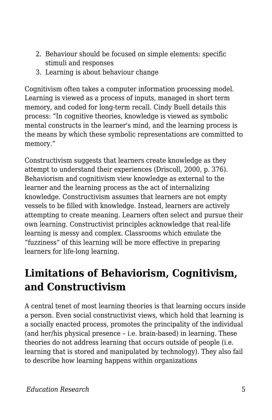- 2. Behaviour should be focused on simple elements: specific stimuli and responses
- 3. Learning is about behaviour change

Cognitivism often takes a computer information processing model. Learning is viewed as a process of inputs, managed in short term memory, and coded for long-term recall. Cindy Buell details this process: "In cognitive theories, knowledge is viewed as symbolic mental constructs in the learner's mind, and the learning process is the means by which these symbolic representations are committed to memory."

Constructivism suggests that learners create knowledge as they attempt to understand their experiences (Driscoll, 2000, p. 376). Behaviorism and cognitivism view knowledge as external to the learner and the learning process as the act of internalizing knowledge. Constructivism assumes that learners are not empty vessels to be filled with knowledge. Instead, learners are actively attempting to create meaning. Learners often select and pursue their own learning. Constructivist principles acknowledge that real-life learning is messy and complex. Classrooms which emulate the "fuzziness" of this learning will be more effective in preparing learners for life-long learning.

### **Limitations of Behaviorism, Cognitivism, and Constructivism**

A central tenet of most learning theories is that learning occurs inside a person. Even social constructivist views, which hold that learning is a socially enacted process, promotes the principality of the individual (and her/his physical presence – i.e. brain-based) in learning. These theories do not address learning that occurs outside of people (i.e. learning that is stored and manipulated by technology). They also fail to describe how learning happens within organizations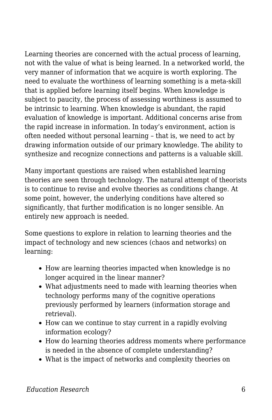Learning theories are concerned with the actual process of learning, not with the value of what is being learned. In a networked world, the very manner of information that we acquire is worth exploring. The need to evaluate the worthiness of learning something is a meta-skill that is applied before learning itself begins. When knowledge is subject to paucity, the process of assessing worthiness is assumed to be intrinsic to learning. When knowledge is abundant, the rapid evaluation of knowledge is important. Additional concerns arise from the rapid increase in information. In today's environment, action is often needed without personal learning – that is, we need to act by drawing information outside of our primary knowledge. The ability to synthesize and recognize connections and patterns is a valuable skill.

Many important questions are raised when established learning theories are seen through technology. The natural attempt of theorists is to continue to revise and evolve theories as conditions change. At some point, however, the underlying conditions have altered so significantly, that further modification is no longer sensible. An entirely new approach is needed.

Some questions to explore in relation to learning theories and the impact of technology and new sciences (chaos and networks) on learning:

- How are learning theories impacted when knowledge is no longer acquired in the linear manner?
- What adjustments need to made with learning theories when technology performs many of the cognitive operations previously performed by learners (information storage and retrieval).
- How can we continue to stay current in a rapidly evolving information ecology?
- How do learning theories address moments where performance is needed in the absence of complete understanding?
- What is the impact of networks and complexity theories on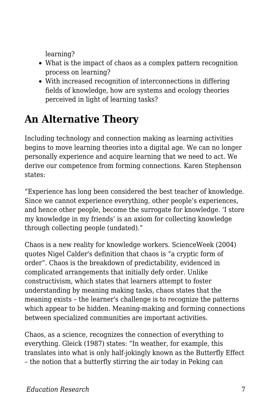learning?

- What is the impact of chaos as a complex pattern recognition process on learning?
- With increased recognition of interconnections in differing fields of knowledge, how are systems and ecology theories perceived in light of learning tasks?

### **An Alternative Theory**

Including technology and connection making as learning activities begins to move learning theories into a digital age. We can no longer personally experience and acquire learning that we need to act. We derive our competence from forming connections. Karen Stephenson states:

"Experience has long been considered the best teacher of knowledge. Since we cannot experience everything, other people's experiences, and hence other people, become the surrogate for knowledge. 'I store my knowledge in my friends' is an axiom for collecting knowledge through collecting people (undated)."

Chaos is a new reality for knowledge workers. ScienceWeek (2004) quotes Nigel Calder's definition that chaos is "a cryptic form of order". Chaos is the breakdown of predictability, evidenced in complicated arrangements that initially defy order. Unlike constructivism, which states that learners attempt to foster understanding by meaning making tasks, chaos states that the meaning exists – the learner's challenge is to recognize the patterns which appear to be hidden. Meaning-making and forming connections between specialized communities are important activities.

Chaos, as a science, recognizes the connection of everything to everything. Gleick (1987) states: "In weather, for example, this translates into what is only half-jokingly known as the Butterfly Effect – the notion that a butterfly stirring the air today in Peking can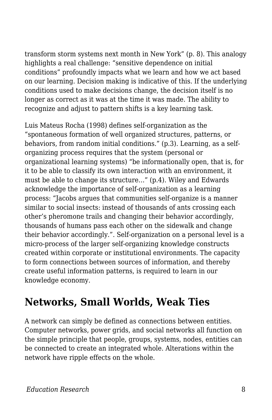transform storm systems next month in New York" (p. 8). This analogy highlights a real challenge: "sensitive dependence on initial conditions" profoundly impacts what we learn and how we act based on our learning. Decision making is indicative of this. If the underlying conditions used to make decisions change, the decision itself is no longer as correct as it was at the time it was made. The ability to recognize and adjust to pattern shifts is a key learning task.

Luis Mateus Rocha (1998) defines self-organization as the "spontaneous formation of well organized structures, patterns, or behaviors, from random initial conditions." (p.3). Learning, as a selforganizing process requires that the system (personal or organizational learning systems) "be informationally open, that is, for it to be able to classify its own interaction with an environment, it must be able to change its structure…" (p.4). Wiley and Edwards acknowledge the importance of self-organization as a learning process: "Jacobs argues that communities self-organize is a manner similar to social insects: instead of thousands of ants crossing each other's pheromone trails and changing their behavior accordingly, thousands of humans pass each other on the sidewalk and change their behavior accordingly.". Self-organization on a personal level is a micro-process of the larger self-organizing knowledge constructs created within corporate or institutional environments. The capacity to form connections between sources of information, and thereby create useful information patterns, is required to learn in our knowledge economy.

### **Networks, Small Worlds, Weak Ties**

A network can simply be defined as connections between entities. Computer networks, power grids, and social networks all function on the simple principle that people, groups, systems, nodes, entities can be connected to create an integrated whole. Alterations within the network have ripple effects on the whole.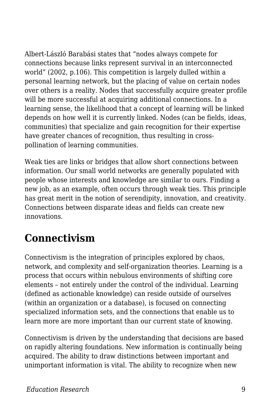Albert-László Barabási states that "nodes always compete for connections because links represent survival in an interconnected world" (2002, p.106). This competition is largely dulled within a personal learning network, but the placing of value on certain nodes over others is a reality. Nodes that successfully acquire greater profile will be more successful at acquiring additional connections. In a learning sense, the likelihood that a concept of learning will be linked depends on how well it is currently linked. Nodes (can be fields, ideas, communities) that specialize and gain recognition for their expertise have greater chances of recognition, thus resulting in crosspollination of learning communities.

Weak ties are links or bridges that allow short connections between information. Our small world networks are generally populated with people whose interests and knowledge are similar to ours. Finding a new job, as an example, often occurs through weak ties. This principle has great merit in the notion of serendipity, innovation, and creativity. Connections between disparate ideas and fields can create new innovations.

### **Connectivism**

Connectivism is the integration of principles explored by chaos, network, and complexity and self-organization theories. Learning is a process that occurs within nebulous environments of shifting core elements – not entirely under the control of the individual. Learning (defined as actionable knowledge) can reside outside of ourselves (within an organization or a database), is focused on connecting specialized information sets, and the connections that enable us to learn more are more important than our current state of knowing.

Connectivism is driven by the understanding that decisions are based on rapidly altering foundations. New information is continually being acquired. The ability to draw distinctions between important and unimportant information is vital. The ability to recognize when new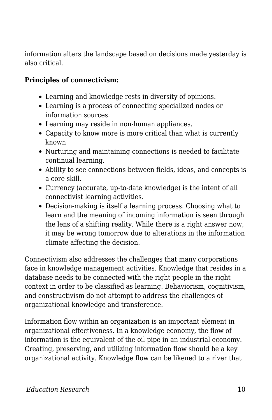information alters the landscape based on decisions made yesterday is also critical.

#### **Principles of connectivism:**

- Learning and knowledge rests in diversity of opinions.
- Learning is a process of connecting specialized nodes or information sources.
- Learning may reside in non-human appliances.
- Capacity to know more is more critical than what is currently known
- Nurturing and maintaining connections is needed to facilitate continual learning.
- Ability to see connections between fields, ideas, and concepts is a core skill.
- Currency (accurate, up-to-date knowledge) is the intent of all connectivist learning activities.
- Decision-making is itself a learning process. Choosing what to learn and the meaning of incoming information is seen through the lens of a shifting reality. While there is a right answer now, it may be wrong tomorrow due to alterations in the information climate affecting the decision.

Connectivism also addresses the challenges that many corporations face in knowledge management activities. Knowledge that resides in a database needs to be connected with the right people in the right context in order to be classified as learning. Behaviorism, cognitivism, and constructivism do not attempt to address the challenges of organizational knowledge and transference.

Information flow within an organization is an important element in organizational effectiveness. In a knowledge economy, the flow of information is the equivalent of the oil pipe in an industrial economy. Creating, preserving, and utilizing information flow should be a key organizational activity. Knowledge flow can be likened to a river that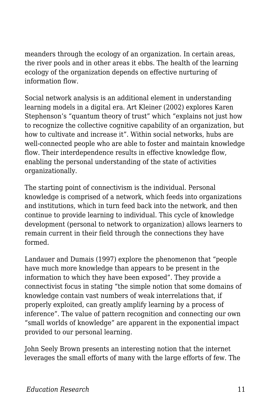meanders through the ecology of an organization. In certain areas, the river pools and in other areas it ebbs. The health of the learning ecology of the organization depends on effective nurturing of information flow.

Social network analysis is an additional element in understanding learning models in a digital era. Art Kleiner (2002) explores Karen Stephenson's "quantum theory of trust" which "explains not just how to recognize the collective cognitive capability of an organization, but how to cultivate and increase it". Within social networks, hubs are well-connected people who are able to foster and maintain knowledge flow. Their interdependence results in effective knowledge flow, enabling the personal understanding of the state of activities organizationally.

The starting point of connectivism is the individual. Personal knowledge is comprised of a network, which feeds into organizations and institutions, which in turn feed back into the network, and then continue to provide learning to individual. This cycle of knowledge development (personal to network to organization) allows learners to remain current in their field through the connections they have formed.

Landauer and Dumais (1997) explore the phenomenon that "people have much more knowledge than appears to be present in the information to which they have been exposed". They provide a connectivist focus in stating "the simple notion that some domains of knowledge contain vast numbers of weak interrelations that, if properly exploited, can greatly amplify learning by a process of inference". The value of pattern recognition and connecting our own "small worlds of knowledge" are apparent in the exponential impact provided to our personal learning.

John Seely Brown presents an interesting notion that the internet leverages the small efforts of many with the large efforts of few. The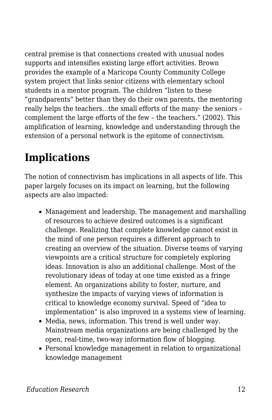central premise is that connections created with unusual nodes supports and intensifies existing large effort activities. Brown provides the example of a Maricopa County Community College system project that links senior citizens with elementary school students in a mentor program. The children "listen to these "grandparents" better than they do their own parents, the mentoring really helps the teachers…the small efforts of the many- the seniors – complement the large efforts of the few – the teachers." (2002). This amplification of learning, knowledge and understanding through the extension of a personal network is the epitome of connectivism.

### **Implications**

The notion of connectivism has implications in all aspects of life. This paper largely focuses on its impact on learning, but the following aspects are also impacted:

- Management and leadership. The management and marshalling of resources to achieve desired outcomes is a significant challenge. Realizing that complete knowledge cannot exist in the mind of one person requires a different approach to creating an overview of the situation. Diverse teams of varying viewpoints are a critical structure for completely exploring ideas. Innovation is also an additional challenge. Most of the revolutionary ideas of today at one time existed as a fringe element. An organizations ability to foster, nurture, and synthesize the impacts of varying views of information is critical to knowledge economy survival. Speed of "idea to implementation" is also improved in a systems view of learning.
- Media, news, information. This trend is well under way. Mainstream media organizations are being challenged by the open, real-time, two-way information flow of blogging.
- Personal knowledge management in relation to organizational knowledge management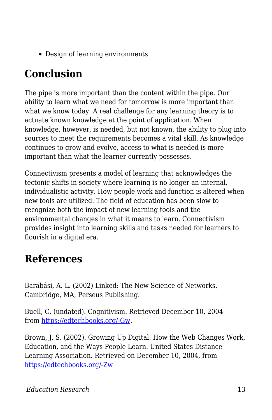• Design of learning environments

### **Conclusion**

The pipe is more important than the content within the pipe. Our ability to learn what we need for tomorrow is more important than what we know today. A real challenge for any learning theory is to actuate known knowledge at the point of application. When knowledge, however, is needed, but not known, the ability to plug into sources to meet the requirements becomes a vital skill. As knowledge continues to grow and evolve, access to what is needed is more important than what the learner currently possesses.

Connectivism presents a model of learning that acknowledges the tectonic shifts in society where learning is no longer an internal, individualistic activity. How people work and function is altered when new tools are utilized. The field of education has been slow to recognize both the impact of new learning tools and the environmental changes in what it means to learn. Connectivism provides insight into learning skills and tasks needed for learners to flourish in a digital era.

### **References**

Barabási, A. L. (2002) Linked: The New Science of Networks, Cambridge, MA, Perseus Publishing.

Buell, C. (undated). Cognitivism. Retrieved December 10, 2004 from [https://edtechbooks.org/-Gw.](http://web.cocc.edu/cbuell/theories/cognitivism.htm)

Brown, J. S. (2002). Growing Up Digital: How the Web Changes Work, Education, and the Ways People Learn. United States Distance Learning Association. Retrieved on December 10, 2004, from [https://edtechbooks.org/-Zw](http://www.usdla.org/html/journal/FEB02_Issue/article01.html)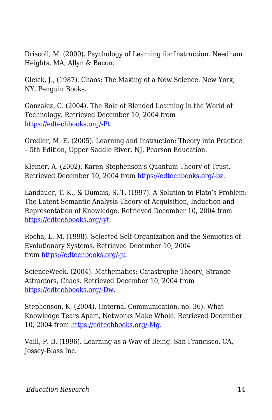Driscoll, M. (2000). Psychology of Learning for Instruction. Needham Heights, MA, Allyn & Bacon.

Gleick, J., (1987). Chaos: The Making of a New Science. New York, NY, Penguin Books.

Gonzalez, C. (2004). The Role of Blended Learning in the World of Technology. Retrieved December 10, 2004 from [https://edtechbooks.org/-Pt](http://www.unt.edu/benchmarks/archives/2004/september04/eis.htm).

Gredler, M. E. (2005). Learning and Instruction: Theory into Practice – 5th Edition, Upper Saddle River, NJ, Pearson Education.

Kleiner, A. (2002). Karen Stephenson's Quantum Theory of Trust. Retrieved December 10, 2004 from [https://edtechbooks.org/-bz](http://www.netform.com/html/s+b%20article.pdf).

Landauer, T. K., & Dumais, S. T. (1997). A Solution to Plato's Problem: The Latent Semantic Analysis Theory of Acquisition, Induction and Representation of Knowledge. Retrieved December 10, 2004 from [https://edtechbooks.org/-yt](http://lsa.colorado.edu/papers/plato/plato.annote.html).

Rocha, L. M. (1998). Selected Self-Organization and the Semiotics of Evolutionary Systems. Retrieved December 10, 2004 from [https://edtechbooks.org/-ju](http://informatics.indiana.edu/rocha/ises.html).

ScienceWeek. (2004). Mathematics: Catastrophe Theory, Strange Attractors, Chaos. Retrieved December 10, 2004 from [https://edtechbooks.org/-Dw](http://scienceweek.com/2003/sc031226-2.htm).

Stephenson, K. (2004). (Internal Communication, no. 36). What Knowledge Tears Apart, Networks Make Whole. Retrieved December 10, 2004 from [https://edtechbooks.org/-Mg.](http://www.netform.com/html/icf.pdf)

Vaill, P. B. (1996). Learning as a Way of Being. San Francisco, CA, Jossey-Blass Inc.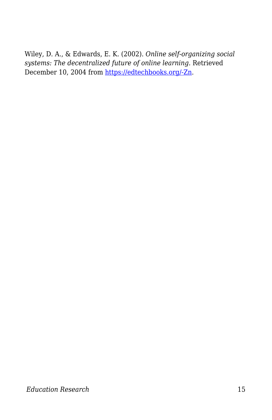Wiley, D. A., & Edwards, E. K. (2002). *Online self-organizing social systems: The decentralized future of online learning.* Retrieved December 10, 2004 from [https://edtechbooks.org/-Zn](http://wiley.ed.usu.edu/docs/ososs.pdf).